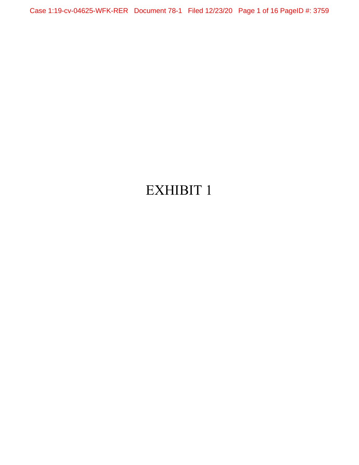Case 1:19-cv-04625-WFK-RER Document 78-1 Filed 12/23/20 Page 1 of 16 PageID #: 3759

# EXHIBIT 1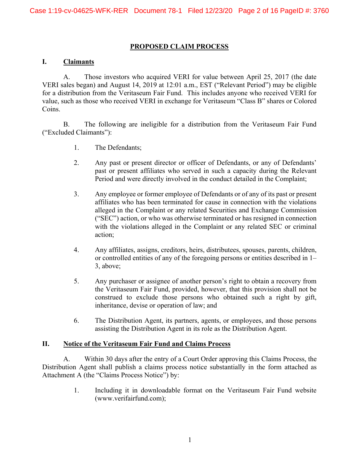#### **PROPOSED CLAIM PROCESS**

#### **I. Claimants**

A. Those investors who acquired VERI for value between April 25, 2017 (the date VERI sales began) and August 14, 2019 at 12:01 a.m., EST ("Relevant Period") may be eligible for a distribution from the Veritaseum Fair Fund. This includes anyone who received VERI for value, such as those who received VERI in exchange for Veritaseum "Class B" shares or Colored Coins.

B. The following are ineligible for a distribution from the Veritaseum Fair Fund ("Excluded Claimants"):

- 1. The Defendants;
- 2. Any past or present director or officer of Defendants, or any of Defendants' past or present affiliates who served in such a capacity during the Relevant Period and were directly involved in the conduct detailed in the Complaint;
- 3. Any employee or former employee of Defendants or of any of its past or present affiliates who has been terminated for cause in connection with the violations alleged in the Complaint or any related Securities and Exchange Commission ("SEC") action, or who was otherwise terminated or has resigned in connection with the violations alleged in the Complaint or any related SEC or criminal action;
- 4. Any affiliates, assigns, creditors, heirs, distributees, spouses, parents, children, or controlled entities of any of the foregoing persons or entities described in 1– 3, above;
- 5. Any purchaser or assignee of another person's right to obtain a recovery from the Veritaseum Fair Fund, provided, however, that this provision shall not be construed to exclude those persons who obtained such a right by gift, inheritance, devise or operation of law; and
- 6. The Distribution Agent, its partners, agents, or employees, and those persons assisting the Distribution Agent in its role as the Distribution Agent.

#### **II. Notice of the Veritaseum Fair Fund and Claims Process**

A. Within 30 days after the entry of a Court Order approving this Claims Process, the Distribution Agent shall publish a claims process notice substantially in the form attached as Attachment A (the "Claims Process Notice") by:

> 1. Including it in downloadable format on the Veritaseum Fair Fund website (www.verifairfund.com);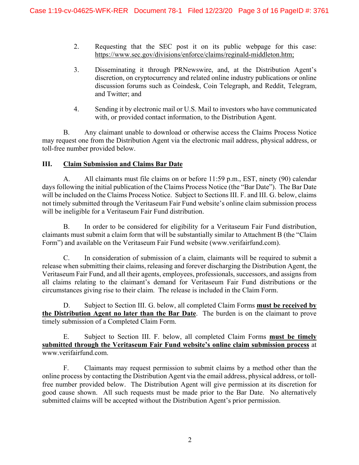- 2. Requesting that the SEC post it on its public webpage for this case: https://www.sec.gov/divisions/enforce/claims/reginald-middleton.htm;
- 3. Disseminating it through PRNewswire, and, at the Distribution Agent's discretion, on cryptocurrency and related online industry publications or online discussion forums such as Coindesk, Coin Telegraph, and Reddit, Telegram, and Twitter; and
- 4. Sending it by electronic mail or U.S. Mail to investors who have communicated with, or provided contact information, to the Distribution Agent.

B. Any claimant unable to download or otherwise access the Claims Process Notice may request one from the Distribution Agent via the electronic mail address, physical address, or toll-free number provided below.

## **III. Claim Submission and Claims Bar Date**

A. All claimants must file claims on or before 11:59 p.m., EST, ninety (90) calendar days following the initial publication of the Claims Process Notice (the "Bar Date"). The Bar Date will be included on the Claims Process Notice. Subject to Sections III. F. and III. G. below, claims not timely submitted through the Veritaseum Fair Fund website's online claim submission process will be ineligible for a Veritaseum Fair Fund distribution.

B. In order to be considered for eligibility for a Veritaseum Fair Fund distribution, claimants must submit a claim form that will be substantially similar to Attachment B (the "Claim Form") and available on the Veritaseum Fair Fund website (www.verifairfund.com).

C. In consideration of submission of a claim, claimants will be required to submit a release when submitting their claims, releasing and forever discharging the Distribution Agent, the Veritaseum Fair Fund, and all their agents, employees, professionals, successors, and assigns from all claims relating to the claimant's demand for Veritaseum Fair Fund distributions or the circumstances giving rise to their claim. The release is included in the Claim Form.

D. Subject to Section III. G. below, all completed Claim Forms **must be received by the Distribution Agent no later than the Bar Date**. The burden is on the claimant to prove timely submission of a Completed Claim Form.

E. Subject to Section III. F. below, all completed Claim Forms **must be timely submitted through the Veritaseum Fair Fund website's online claim submission process** at www.verifairfund.com.

F. Claimants may request permission to submit claims by a method other than the online process by contacting the Distribution Agent via the email address, physical address, or tollfree number provided below. The Distribution Agent will give permission at its discretion for good cause shown. All such requests must be made prior to the Bar Date. No alternatively submitted claims will be accepted without the Distribution Agent's prior permission.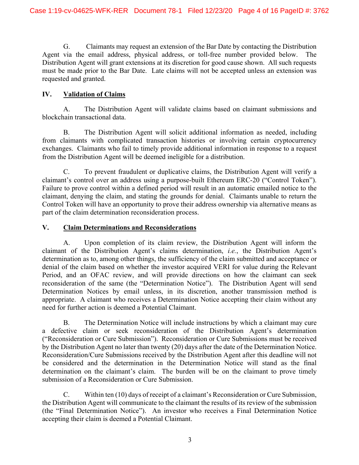G. Claimants may request an extension of the Bar Date by contacting the Distribution Agent via the email address, physical address, or toll-free number provided below. The Distribution Agent will grant extensions at its discretion for good cause shown. All such requests must be made prior to the Bar Date. Late claims will not be accepted unless an extension was requested and granted.

## **IV. Validation of Claims**

A. The Distribution Agent will validate claims based on claimant submissions and blockchain transactional data.

B. The Distribution Agent will solicit additional information as needed, including from claimants with complicated transaction histories or involving certain cryptocurrency exchanges. Claimants who fail to timely provide additional information in response to a request from the Distribution Agent will be deemed ineligible for a distribution.

C. To prevent fraudulent or duplicative claims, the Distribution Agent will verify a claimant's control over an address using a purpose-built Ethereum ERC-20 ("Control Token"). Failure to prove control within a defined period will result in an automatic emailed notice to the claimant, denying the claim, and stating the grounds for denial. Claimants unable to return the Control Token will have an opportunity to prove their address ownership via alternative means as part of the claim determination reconsideration process.

## **V. Claim Determinations and Reconsiderations**

A. Upon completion of its claim review, the Distribution Agent will inform the claimant of the Distribution Agent's claims determination, *i.e.*, the Distribution Agent's determination as to, among other things, the sufficiency of the claim submitted and acceptance or denial of the claim based on whether the investor acquired VERI for value during the Relevant Period, and an OFAC review, and will provide directions on how the claimant can seek reconsideration of the same (the "Determination Notice"). The Distribution Agent will send Determination Notices by email unless, in its discretion, another transmission method is appropriate. A claimant who receives a Determination Notice accepting their claim without any need for further action is deemed a Potential Claimant.

B. The Determination Notice will include instructions by which a claimant may cure a defective claim or seek reconsideration of the Distribution Agent's determination ("Reconsideration or Cure Submission"). Reconsideration or Cure Submissions must be received by the Distribution Agent no later than twenty (20) days after the date of the Determination Notice. Reconsideration/Cure Submissions received by the Distribution Agent after this deadline will not be considered and the determination in the Determination Notice will stand as the final determination on the claimant's claim. The burden will be on the claimant to prove timely submission of a Reconsideration or Cure Submission.

C. Within ten (10) days of receipt of a claimant's Reconsideration or Cure Submission, the Distribution Agent will communicate to the claimant the results of its review of the submission (the "Final Determination Notice"). An investor who receives a Final Determination Notice accepting their claim is deemed a Potential Claimant.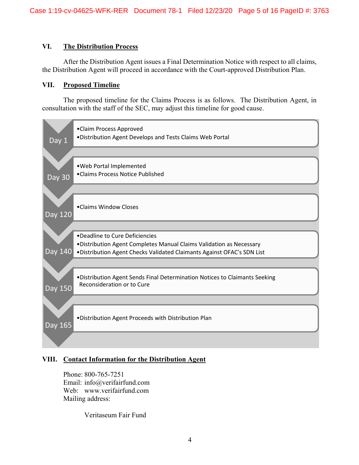#### **VI. The Distribution Process**

After the Distribution Agent issues a Final Determination Notice with respect to all claims, the Distribution Agent will proceed in accordance with the Court-approved Distribution Plan.

#### **VII. Proposed Timeline**

The proposed timeline for the Claims Process is as follows. The Distribution Agent, in consultation with the staff of the SEC, may adjust this timeline for good cause.



## **VIII. Contact Information for the Distribution Agent**

Phone: 800-765-7251 Email: info@verifairfund.com Web: www.verifairfund.com Mailing address:

Veritaseum Fair Fund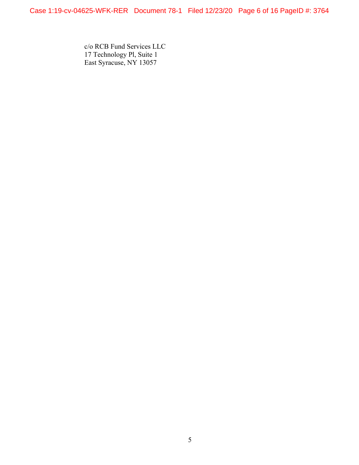c/o RCB Fund Services LLC 17 Technology Pl, Suite 1 East Syracuse, NY 13057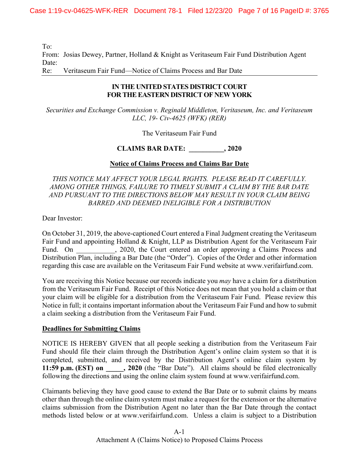To:

From: Josias Dewey, Partner, Holland & Knight as Veritaseum Fair Fund Distribution Agent Date:

Re: Veritaseum Fair Fund—Notice of Claims Process and Bar Date

## **IN THE UNITED STATES DISTRICT COURT FOR THE EASTERN DISTRICT OF NEW YORK**

*Securities and Exchange Commission v. Reginald Middleton, Veritaseum, Inc. and Veritaseum LLC, 19- Civ-4625 (WFK) (RER)* 

The Veritaseum Fair Fund

**CLAIMS BAR DATE: \_\_\_\_\_\_\_\_\_\_, 2020** 

## **Notice of Claims Process and Claims Bar Date**

## *THIS NOTICE MAY AFFECT YOUR LEGAL RIGHTS. PLEASE READ IT CAREFULLY. AMONG OTHER THINGS, FAILURE TO TIMELY SUBMIT A CLAIM BY THE BAR DATE AND PURSUANT TO THE DIRECTIONS BELOW MAY RESULT IN YOUR CLAIM BEING BARRED AND DEEMED INELIGIBLE FOR A DISTRIBUTION*

Dear Investor:

On October 31, 2019, the above-captioned Court entered a Final Judgment creating the Veritaseum Fair Fund and appointing Holland & Knight, LLP as Distribution Agent for the Veritaseum Fair Fund. On 3020, the Court entered an order approving a Claims Process and Distribution Plan, including a Bar Date (the "Order"). Copies of the Order and other information regarding this case are available on the Veritaseum Fair Fund website at www.verifairfund.com.

You are receiving this Notice because our records indicate you *may* have a claim for a distribution from the Veritaseum Fair Fund. Receipt of this Notice does not mean that you hold a claim or that your claim will be eligible for a distribution from the Veritaseum Fair Fund. Please review this Notice in full; it contains important information about the Veritaseum Fair Fund and how to submit a claim seeking a distribution from the Veritaseum Fair Fund.

## **Deadlines for Submitting Claims**

NOTICE IS HEREBY GIVEN that all people seeking a distribution from the Veritaseum Fair Fund should file their claim through the Distribution Agent's online claim system so that it is completed, submitted, and received by the Distribution Agent's online claim system by **11:59 p.m. (EST) on \_\_\_\_\_, 2020** (the "Bar Date"). All claims should be filed electronically following the directions and using the online claim system found at www.verifairfund.com.

Claimants believing they have good cause to extend the Bar Date or to submit claims by means other than through the online claim system must make a request for the extension or the alternative claims submission from the Distribution Agent no later than the Bar Date through the contact methods listed below or at www.verifairfund.com. Unless a claim is subject to a Distribution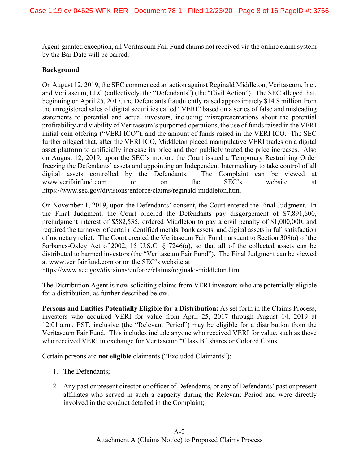Agent-granted exception, all Veritaseum Fair Fund claims not received via the online claim system by the Bar Date will be barred.

#### **Background**

On August 12, 2019, the SEC commenced an action against Reginald Middleton, Veritaseum, Inc., and Veritaseum, LLC (collectively, the "Defendants") (the "Civil Action"). The SEC alleged that, beginning on April 25, 2017, the Defendants fraudulently raised approximately \$14.8 million from the unregistered sales of digital securities called "VERI" based on a series of false and misleading statements to potential and actual investors, including misrepresentations about the potential profitability and viability of Veritaseum's purported operations, the use of funds raised in the VERI initial coin offering ("VERI ICO"), and the amount of funds raised in the VERI ICO. The SEC further alleged that, after the VERI ICO, Middleton placed manipulative VERI trades on a digital asset platform to artificially increase its price and then publicly touted the price increases. Also on August 12, 2019, upon the SEC's motion, the Court issued a Temporary Restraining Order freezing the Defendants' assets and appointing an Independent Intermediary to take control of all digital assets controlled by the Defendants. The Complaint can be viewed at www.verifairfund.com or on the SEC's website at https://www.sec.gov/divisions/enforce/claims/reginald-middleton.htm.

On November 1, 2019, upon the Defendants' consent, the Court entered the Final Judgment. In the Final Judgment, the Court ordered the Defendants pay disgorgement of \$7,891,600, prejudgment interest of \$582,535, ordered Middleton to pay a civil penalty of \$1,000,000, and required the turnover of certain identified metals, bank assets, and digital assets in full satisfaction of monetary relief. The Court created the Veritaseum Fair Fund pursuant to Section 308(a) of the Sarbanes-Oxley Act of 2002, 15 U.S.C. § 7246(a), so that all of the collected assets can be distributed to harmed investors (the "Veritaseum Fair Fund"). The Final Judgment can be viewed at www.verifairfund.com or on the SEC's website at

https://www.sec.gov/divisions/enforce/claims/reginald-middleton.htm.

The Distribution Agent is now soliciting claims from VERI investors who are potentially eligible for a distribution, as further described below.

**Persons and Entities Potentially Eligible for a Distribution:** As set forth in the Claims Process, investors who acquired VERI for value from April 25, 2017 through August 14, 2019 at 12:01 a.m., EST, inclusive (the "Relevant Period") may be eligible for a distribution from the Veritaseum Fair Fund. This includes include anyone who received VERI for value, such as those who received VERI in exchange for Veritaseum "Class B" shares or Colored Coins.

Certain persons are **not eligible** claimants ("Excluded Claimants"):

- 1. The Defendants;
- 2. Any past or present director or officer of Defendants, or any of Defendants' past or present affiliates who served in such a capacity during the Relevant Period and were directly involved in the conduct detailed in the Complaint;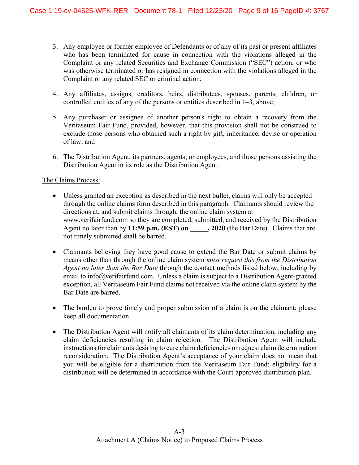- 3. Any employee or former employee of Defendants or of any of its past or present affiliates who has been terminated for cause in connection with the violations alleged in the Complaint or any related Securities and Exchange Commission ("SEC") action, or who was otherwise terminated or has resigned in connection with the violations alleged in the Complaint or any related SEC or criminal action;
- 4. Any affiliates, assigns, creditors, heirs, distributees, spouses, parents, children, or controlled entities of any of the persons or entities described in 1–3, above;
- 5. Any purchaser or assignee of another person's right to obtain a recovery from the Veritaseum Fair Fund, provided, however, that this provision shall not be construed to exclude those persons who obtained such a right by gift, inheritance, devise or operation of law; and
- 6. The Distribution Agent, its partners, agents, or employees, and those persons assisting the Distribution Agent in its role as the Distribution Agent.

#### The Claims Process:

- Unless granted an exception as described in the next bullet, claims will only be accepted through the online claims form described in this paragraph. Claimants should review the directions at, and submit claims through, the online claim system at www.verifairfund.com so they are completed, submitted, and received by the Distribution Agent no later than by **11:59 p.m. (EST) on \_\_\_\_\_, 2020** (the Bar Date). Claims that are not timely submitted shall be barred.
- Claimants believing they have good cause to extend the Bar Date or submit claims by means other than through the online claim system *must request this from the Distribution Agent no later than the Bar Date* through the contact methods listed below, including by email to info@verifairfund.com. Unless a claim is subject to a Distribution Agent-granted exception, all Veritaseum Fair Fund claims not received via the online claim system by the Bar Date are barred.
- The burden to prove timely and proper submission of a claim is on the claimant; please keep all documentation.
- The Distribution Agent will notify all claimants of its claim determination, including any claim deficiencies resulting in claim rejection. The Distribution Agent will include instructions for claimants desiring to cure claim deficiencies or request claim determination reconsideration. The Distribution Agent's acceptance of your claim does not mean that you will be eligible for a distribution from the Veritaseum Fair Fund; eligibility for a distribution will be determined in accordance with the Court-approved distribution plan.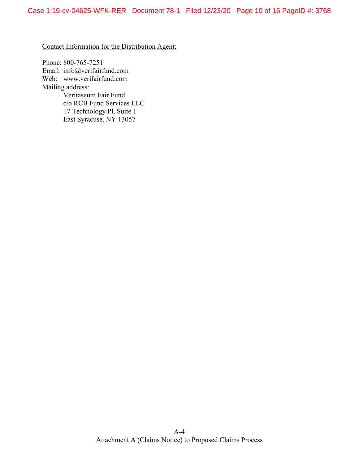Contact Information for the Distribution Agent:

Phone: 800-765-7251 Email: info@verifairfund.com Web: www.verifairfund.com Mailing address: Veritaseum Fair Fund c/o RCB Fund Services LLC 17 Technology Pl, Suite 1 East Syracuse, NY 13057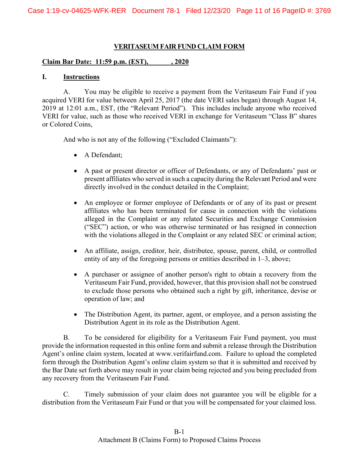#### **VERITASEUM FAIR FUND CLAIM FORM**

#### **Claim Bar Date: 11:59 p.m. (EST), \_\_\_\_\_\_, 2020**

#### **I. Instructions**

A. You may be eligible to receive a payment from the Veritaseum Fair Fund if you acquired VERI for value between April 25, 2017 (the date VERI sales began) through August 14, 2019 at 12:01 a.m., EST, (the "Relevant Period"). This includes include anyone who received VERI for value, such as those who received VERI in exchange for Veritaseum "Class B" shares or Colored Coins,

And who is not any of the following ("Excluded Claimants"):

- A Defendant;
- A past or present director or officer of Defendants, or any of Defendants' past or present affiliates who served in such a capacity during the Relevant Period and were directly involved in the conduct detailed in the Complaint;
- An employee or former employee of Defendants or of any of its past or present affiliates who has been terminated for cause in connection with the violations alleged in the Complaint or any related Securities and Exchange Commission ("SEC") action, or who was otherwise terminated or has resigned in connection with the violations alleged in the Complaint or any related SEC or criminal action;
- An affiliate, assign, creditor, heir, distributee, spouse, parent, child, or controlled entity of any of the foregoing persons or entities described in 1–3, above;
- A purchaser or assignee of another person's right to obtain a recovery from the Veritaseum Fair Fund, provided, however, that this provision shall not be construed to exclude those persons who obtained such a right by gift, inheritance, devise or operation of law; and
- The Distribution Agent, its partner, agent, or employee, and a person assisting the Distribution Agent in its role as the Distribution Agent.

B. To be considered for eligibility for a Veritaseum Fair Fund payment, you must provide the information requested in this online form and submit a release through the Distribution Agent's online claim system, located at www.verifairfund.com. Failure to upload the completed form through the Distribution Agent's online claim system so that it is submitted and received by the Bar Date set forth above may result in your claim being rejected and you being precluded from any recovery from the Veritaseum Fair Fund.

C. Timely submission of your claim does not guarantee you will be eligible for a distribution from the Veritaseum Fair Fund or that you will be compensated for your claimed loss.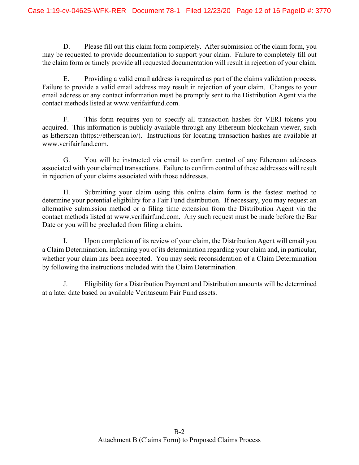D. Please fill out this claim form completely. After submission of the claim form, you may be requested to provide documentation to support your claim. Failure to completely fill out the claim form or timely provide all requested documentation will result in rejection of your claim.

E. Providing a valid email address is required as part of the claims validation process. Failure to provide a valid email address may result in rejection of your claim. Changes to your email address or any contact information must be promptly sent to the Distribution Agent via the contact methods listed at www.verifairfund.com.

F. This form requires you to specify all transaction hashes for VERI tokens you acquired. This information is publicly available through any Ethereum blockchain viewer, such as Etherscan (https://etherscan.io/). Instructions for locating transaction hashes are available at www.verifairfund.com.

G. You will be instructed via email to confirm control of any Ethereum addresses associated with your claimed transactions. Failure to confirm control of these addresses will result in rejection of your claims associated with those addresses.

H. Submitting your claim using this online claim form is the fastest method to determine your potential eligibility for a Fair Fund distribution. If necessary, you may request an alternative submission method or a filing time extension from the Distribution Agent via the contact methods listed at www.verifairfund.com. Any such request must be made before the Bar Date or you will be precluded from filing a claim.

I. Upon completion of its review of your claim, the Distribution Agent will email you a Claim Determination, informing you of its determination regarding your claim and, in particular, whether your claim has been accepted. You may seek reconsideration of a Claim Determination by following the instructions included with the Claim Determination.

J. Eligibility for a Distribution Payment and Distribution amounts will be determined at a later date based on available Veritaseum Fair Fund assets.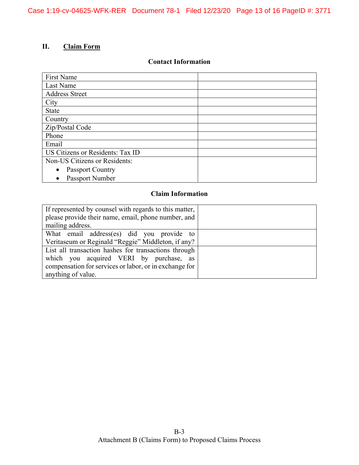# **II. Claim Form**

#### **Contact Information**

| First Name                           |  |
|--------------------------------------|--|
| Last Name                            |  |
| <b>Address Street</b>                |  |
| City                                 |  |
| <b>State</b>                         |  |
| Country                              |  |
| Zip/Postal Code                      |  |
| Phone                                |  |
| Email                                |  |
| US Citizens or Residents: Tax ID     |  |
| Non-US Citizens or Residents:        |  |
| <b>Passport Country</b><br>$\bullet$ |  |
| Passport Number                      |  |

# **Claim Information**

| If represented by counsel with regards to this matter, |  |
|--------------------------------------------------------|--|
| please provide their name, email, phone number, and    |  |
| mailing address.                                       |  |
| What email address(es) did you provide to              |  |
| Veritaseum or Reginald "Reggie" Middleton, if any?     |  |
| List all transaction hashes for transactions through   |  |
| which you acquired VERI by purchase, as                |  |
| compensation for services or labor, or in exchange for |  |
| anything of value.                                     |  |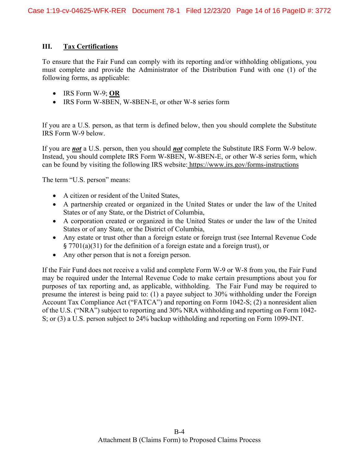#### **III. Tax Certifications**

To ensure that the Fair Fund can comply with its reporting and/or withholding obligations, you must complete and provide the Administrator of the Distribution Fund with one (1) of the following forms, as applicable:

- x IRS Form W-9; **OR**
- IRS Form W-8BEN, W-8BEN-E, or other W-8 series form

If you are a U.S. person, as that term is defined below, then you should complete the Substitute IRS Form W-9 below.

If you are *not* a U.S. person, then you should *not* complete the Substitute IRS Form W-9 below. Instead, you should complete IRS Form W-8BEN, W-8BEN-E, or other W-8 series form, which can be found by visiting the following IRS website: https://www.irs.gov/forms-instructions

The term "U.S. person" means:

- A citizen or resident of the United States,
- A partnership created or organized in the United States or under the law of the United States or of any State, or the District of Columbia,
- A corporation created or organized in the United States or under the law of the United States or of any State, or the District of Columbia,
- Any estate or trust other than a foreign estate or foreign trust (see Internal Revenue Code § 7701(a)(31) for the definition of a foreign estate and a foreign trust), or
- Any other person that is not a foreign person.

If the Fair Fund does not receive a valid and complete Form W-9 or W-8 from you, the Fair Fund may be required under the Internal Revenue Code to make certain presumptions about you for purposes of tax reporting and, as applicable, withholding. The Fair Fund may be required to presume the interest is being paid to: (1) a payee subject to 30% withholding under the Foreign Account Tax Compliance Act ("FATCA") and reporting on Form 1042-S; (2) a nonresident alien of the U.S. ("NRA") subject to reporting and 30% NRA withholding and reporting on Form 1042- S; or (3) a U.S. person subject to 24% backup withholding and reporting on Form 1099-INT.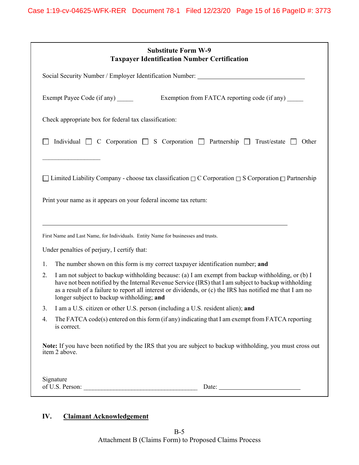| <b>Substitute Form W-9</b><br><b>Taxpayer Identification Number Certification</b>                                                                                                                                                                                                                                                                                                                             |  |  |
|---------------------------------------------------------------------------------------------------------------------------------------------------------------------------------------------------------------------------------------------------------------------------------------------------------------------------------------------------------------------------------------------------------------|--|--|
| Social Security Number / Employer Identification Number: _______________________                                                                                                                                                                                                                                                                                                                              |  |  |
| Exempt Payee Code (if any) ______<br>Exemption from FATCA reporting code (if any)                                                                                                                                                                                                                                                                                                                             |  |  |
| Check appropriate box for federal tax classification:                                                                                                                                                                                                                                                                                                                                                         |  |  |
| Individual $\Box$ C Corporation $\Box$ S Corporation $\Box$ Partnership $\Box$ Trust/estate<br>Other                                                                                                                                                                                                                                                                                                          |  |  |
|                                                                                                                                                                                                                                                                                                                                                                                                               |  |  |
| □ Limited Liability Company - choose tax classification $□$ C Corporation $□$ S Corporation $□$ Partnership                                                                                                                                                                                                                                                                                                   |  |  |
| Print your name as it appears on your federal income tax return:                                                                                                                                                                                                                                                                                                                                              |  |  |
|                                                                                                                                                                                                                                                                                                                                                                                                               |  |  |
| First Name and Last Name, for Individuals. Entity Name for businesses and trusts.                                                                                                                                                                                                                                                                                                                             |  |  |
| Under penalties of perjury, I certify that:                                                                                                                                                                                                                                                                                                                                                                   |  |  |
| The number shown on this form is my correct taxpayer identification number; and<br>1.                                                                                                                                                                                                                                                                                                                         |  |  |
| I am not subject to backup withholding because: (a) I am exempt from backup withholding, or (b) I<br>2.<br>have not been notified by the Internal Revenue Service (IRS) that I am subject to backup withholding<br>as a result of a failure to report all interest or dividends, or (c) the IRS has notified me that I am no<br>longer subject to backup withholding; and                                     |  |  |
| I am a U.S. citizen or other U.S. person (including a U.S. resident alien); and<br>3.                                                                                                                                                                                                                                                                                                                         |  |  |
| The FATCA code(s) entered on this form (if any) indicating that I am exempt from FATCA reporting<br>4.<br>is correct.                                                                                                                                                                                                                                                                                         |  |  |
| Note: If you have been notified by the IRS that you are subject to backup withholding, you must cross out<br>item 2 above.                                                                                                                                                                                                                                                                                    |  |  |
| Signature                                                                                                                                                                                                                                                                                                                                                                                                     |  |  |
| Date: $\frac{1}{\sqrt{1-\frac{1}{2}}\sqrt{1-\frac{1}{2}}\sqrt{1-\frac{1}{2}}\sqrt{1-\frac{1}{2}}\sqrt{1-\frac{1}{2}}\sqrt{1-\frac{1}{2}}\sqrt{1-\frac{1}{2}}\sqrt{1-\frac{1}{2}}\sqrt{1-\frac{1}{2}}\sqrt{1-\frac{1}{2}}\sqrt{1-\frac{1}{2}}\sqrt{1-\frac{1}{2}}\sqrt{1-\frac{1}{2}}\sqrt{1-\frac{1}{2}}\sqrt{1-\frac{1}{2}}\sqrt{1-\frac{1}{2}}\sqrt{1-\frac{1}{2}}\sqrt{1-\frac{1}{2}}\sqrt{1-\frac{1}{2}}$ |  |  |

# **IV. Claimant Acknowledgement**